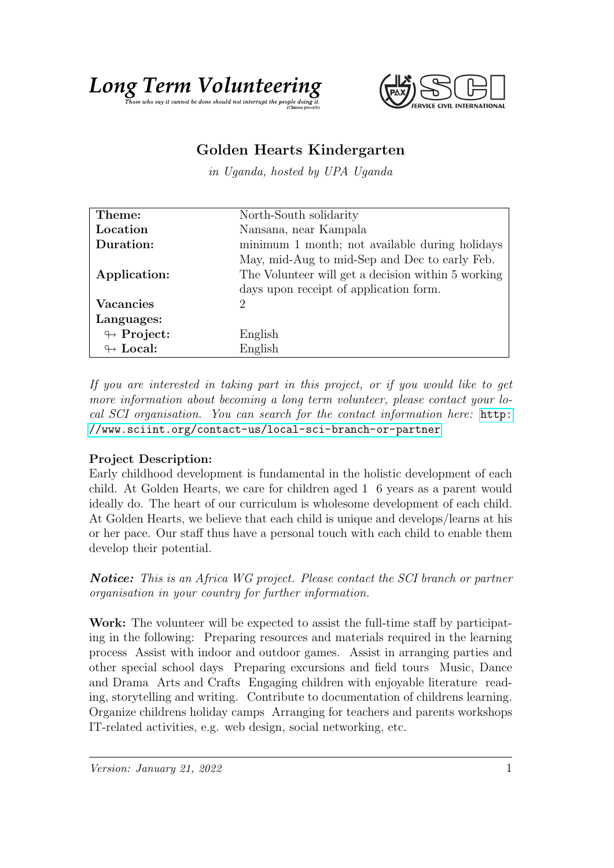# Long Term Volumeteering the Cring



# Golden Hearts Kindergarten

in Uganda, hosted by UPA Uganda

| Theme:                     | North-South solidarity                             |
|----------------------------|----------------------------------------------------|
| Location                   | Nansana, near Kampala                              |
| Duration:                  | minimum 1 month; not available during holidays     |
|                            | May, mid-Aug to mid-Sep and Dec to early Feb.      |
| Application:               | The Volunteer will get a decision within 5 working |
|                            | days upon receipt of application form.             |
| <b>Vacancies</b>           | 2                                                  |
| Languages:                 |                                                    |
| $\looparrowright$ Project: | English                                            |
| $\leftrightarrow$ Local:   | English                                            |

If you are interested in taking part in this project, or if you would like to get more information about becoming a long term volunteer, please contact your local SCI organisation. You can search for the contact information here: [http:](http://www.sciint.org/contact-us/local-sci-branch-or-partner) [//www.sciint.org/contact-us/local-sci-branch-or-partner](http://www.sciint.org/contact-us/local-sci-branch-or-partner)

## Project Description:

Early childhood development is fundamental in the holistic development of each child. At Golden Hearts, we care for children aged 1 6 years as a parent would ideally do. The heart of our curriculum is wholesome development of each child. At Golden Hearts, we believe that each child is unique and develops/learns at his or her pace. Our staff thus have a personal touch with each child to enable them develop their potential.

**Notice:** This is an Africa WG project. Please contact the SCI branch or partner organisation in your country for further information.

Work: The volunteer will be expected to assist the full-time staff by participating in the following: Preparing resources and materials required in the learning process Assist with indoor and outdoor games. Assist in arranging parties and other special school days Preparing excursions and field tours Music, Dance and Drama Arts and Crafts Engaging children with enjoyable literature reading, storytelling and writing. Contribute to documentation of childrens learning. Organize childrens holiday camps Arranging for teachers and parents workshops IT-related activities, e.g. web design, social networking, etc.